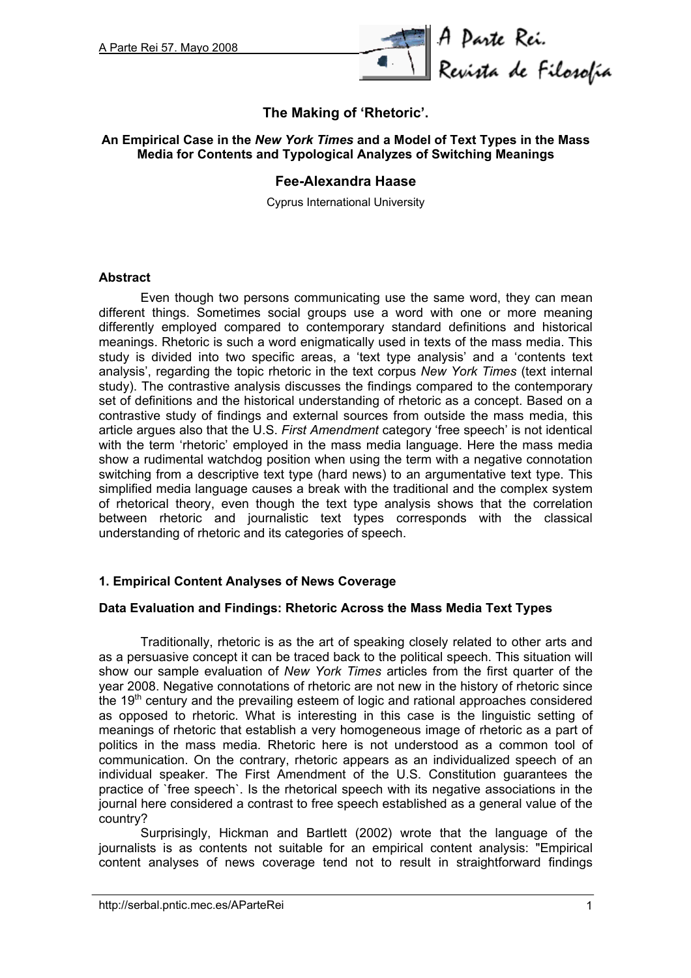

# **The Making of 'Rhetoric'.**

### **An Empirical Case in the** *New York Times* **and a Model of Text Types in the Mass Media for Contents and Typological Analyzes of Switching Meanings**

## **Fee-Alexandra Haase**

Cyprus International University

#### **Abstract**

Even though two persons communicating use the same word, they can mean different things. Sometimes social groups use a word with one or more meaning differently employed compared to contemporary standard definitions and historical meanings. Rhetoric is such a word enigmatically used in texts of the mass media. This study is divided into two specific areas, a 'text type analysis' and a 'contents text analysis', regarding the topic rhetoric in the text corpus *New York Times* (text internal study). The contrastive analysis discusses the findings compared to the contemporary set of definitions and the historical understanding of rhetoric as a concept. Based on a contrastive study of findings and external sources from outside the mass media, this article argues also that the U.S. *First Amendment* category 'free speech' is not identical with the term 'rhetoric' employed in the mass media language. Here the mass media show a rudimental watchdog position when using the term with a negative connotation switching from a descriptive text type (hard news) to an argumentative text type. This simplified media language causes a break with the traditional and the complex system of rhetorical theory, even though the text type analysis shows that the correlation between rhetoric and journalistic text types corresponds with the classical understanding of rhetoric and its categories of speech.

## **1. Empirical Content Analyses of News Coverage**

## **Data Evaluation and Findings: Rhetoric Across the Mass Media Text Types**

Traditionally, rhetoric is as the art of speaking closely related to other arts and as a persuasive concept it can be traced back to the political speech. This situation will show our sample evaluation of *New York Times* articles from the first quarter of the year 2008. Negative connotations of rhetoric are not new in the history of rhetoric since the  $19<sup>th</sup>$  century and the prevailing esteem of logic and rational approaches considered as opposed to rhetoric. What is interesting in this case is the linguistic setting of meanings of rhetoric that establish a very homogeneous image of rhetoric as a part of politics in the mass media. Rhetoric here is not understood as a common tool of communication. On the contrary, rhetoric appears as an individualized speech of an individual speaker. The First Amendment of the U.S. Constitution guarantees the practice of `free speech`. Is the rhetorical speech with its negative associations in the journal here considered a contrast to free speech established as a general value of the country?

Surprisingly, Hickman and Bartlett (2002) wrote that the language of the journalists is as contents not suitable for an empirical content analysis: "Empirical content analyses of news coverage tend not to result in straightforward findings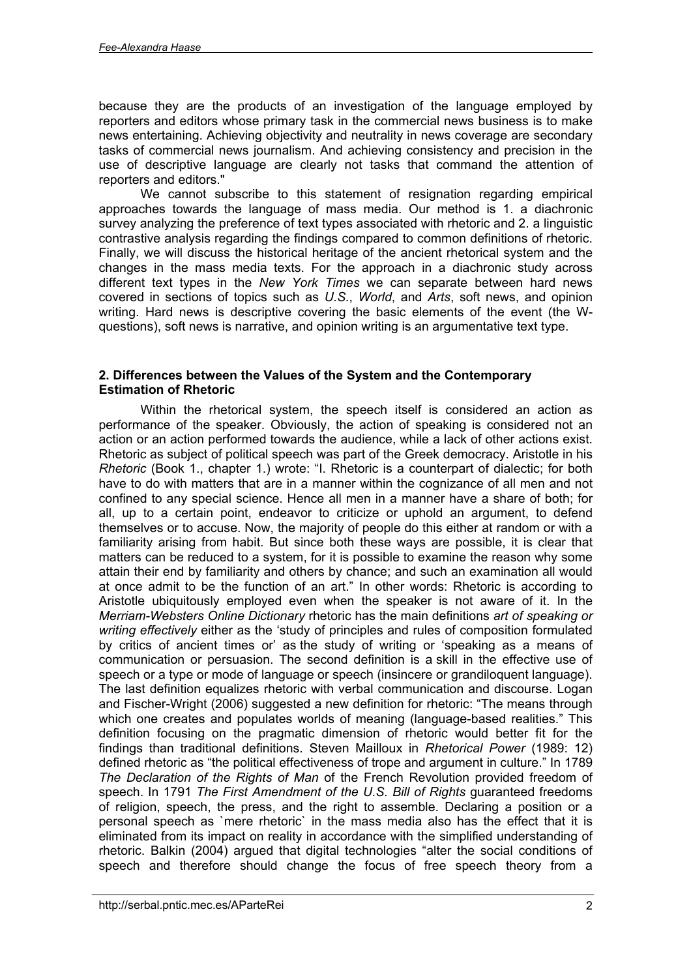because they are the products of an investigation of the language employed by reporters and editors whose primary task in the commercial news business is to make news entertaining. Achieving objectivity and neutrality in news coverage are secondary tasks of commercial news journalism. And achieving consistency and precision in the use of descriptive language are clearly not tasks that command the attention of reporters and editors."

We cannot subscribe to this statement of resignation regarding empirical approaches towards the language of mass media. Our method is 1. a diachronic survey analyzing the preference of text types associated with rhetoric and 2. a linguistic contrastive analysis regarding the findings compared to common definitions of rhetoric. Finally, we will discuss the historical heritage of the ancient rhetorical system and the changes in the mass media texts. For the approach in a diachronic study across different text types in the *New York Times* we can separate between hard news covered in sections of topics such as *U.S.*, *World*, and *Arts*, soft news, and opinion writing. Hard news is descriptive covering the basic elements of the event (the Wquestions), soft news is narrative, and opinion writing is an argumentative text type.

## **2. Differences between the Values of the System and the Contemporary Estimation of Rhetoric**

Within the rhetorical system, the speech itself is considered an action as performance of the speaker. Obviously, the action of speaking is considered not an action or an action performed towards the audience, while a lack of other actions exist. Rhetoric as subject of political speech was part of the Greek democracy. Aristotle in his *Rhetoric* (Book 1., chapter 1.) wrote: "I. Rhetoric is a counterpart of dialectic; for both have to do with matters that are in a manner within the cognizance of all men and not confined to any special science. Hence all men in a manner have a share of both; for all, up to a certain point, endeavor to criticize or uphold an argument, to defend themselves or to accuse. Now, the majority of people do this either at random or with a familiarity arising from habit. But since both these ways are possible, it is clear that matters can be reduced to a system, for it is possible to examine the reason why some attain their end by familiarity and others by chance; and such an examination all would at once admit to be the function of an art." In other words: Rhetoric is according to Aristotle ubiquitously employed even when the speaker is not aware of it. In the *Merriam-Websters Online Dictionary* rhetoric has the main definitions *art of speaking or writing effectively* either as the 'study of principles and rules of composition formulated by critics of ancient times or' as the study of writing or 'speaking as a means of communication or persuasion. The second definition is a skill in the effective use of speech or a type or mode of language or speech (insincere or grandiloquent language). The last definition equalizes rhetoric with verbal communication and discourse. Logan and Fischer-Wright (2006) suggested a new definition for rhetoric: "The means through which one creates and populates worlds of meaning (language-based realities." This definition focusing on the pragmatic dimension of rhetoric would better fit for the findings than traditional definitions. Steven Mailloux in *Rhetorical Power* (1989: 12) defined rhetoric as "the political effectiveness of trope and argument in culture." In 1789 *The Declaration of the Rights of Man* of the French Revolution provided freedom of speech. In 1791 *The First Amendment of the U.S. Bill of Rights* guaranteed freedoms of religion, speech, the press, and the right to assemble. Declaring a position or a personal speech as `mere rhetoric` in the mass media also has the effect that it is eliminated from its impact on reality in accordance with the simplified understanding of rhetoric. Balkin (2004) argued that digital technologies "alter the social conditions of speech and therefore should change the focus of free speech theory from a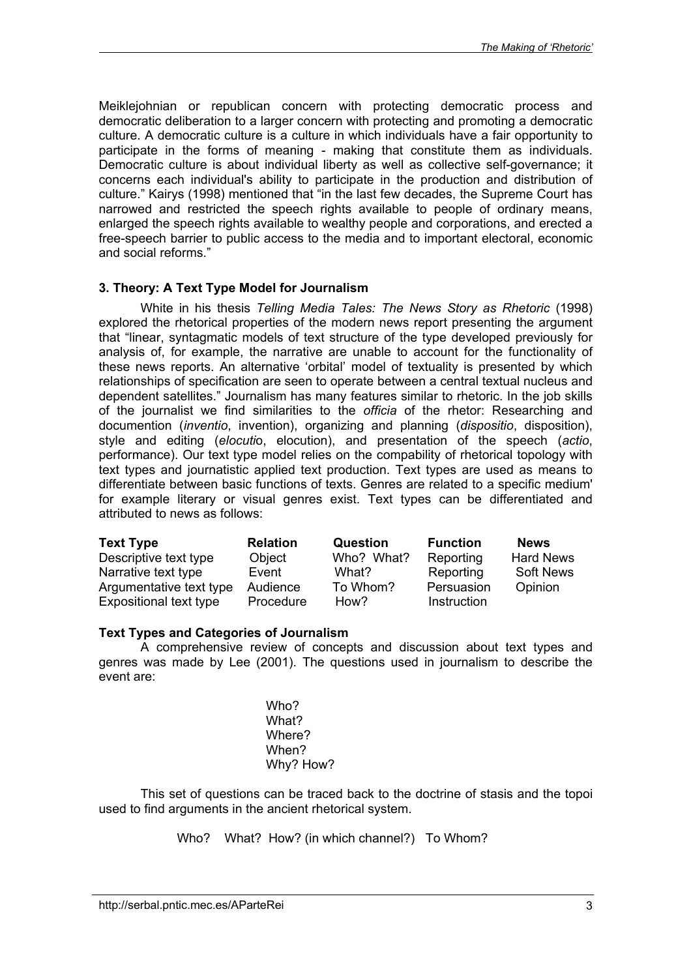Meiklejohnian or republican concern with protecting democratic process and democratic deliberation to a larger concern with protecting and promoting a democratic culture. A democratic culture is a culture in which individuals have a fair opportunity to participate in the forms of meaning - making that constitute them as individuals. Democratic culture is about individual liberty as well as collective self-governance; it concerns each individual's ability to participate in the production and distribution of culture." Kairys (1998) mentioned that "in the last few decades, the Supreme Court has narrowed and restricted the speech rights available to people of ordinary means, enlarged the speech rights available to wealthy people and corporations, and erected a free-speech barrier to public access to the media and to important electoral, economic and social reforms."

## **3. Theory: A Text Type Model for Journalism**

White in his thesis *Telling Media Tales: The News Story as Rhetoric* (1998) explored the rhetorical properties of the modern news report presenting the argument that "linear, syntagmatic models of text structure of the type developed previously for analysis of, for example, the narrative are unable to account for the functionality of these news reports. An alternative 'orbital' model of textuality is presented by which relationships of specification are seen to operate between a central textual nucleus and dependent satellites." Journalism has many features similar to rhetoric. In the job skills of the journalist we find similarities to the *officia* of the rhetor: Researching and documention (*inventio*, invention), organizing and planning (*dispositio*, disposition), style and editing (*elocuti*o, elocution), and presentation of the speech (*actio*, performance). Our text type model relies on the compability of rhetorical topology with text types and journatistic applied text production. Text types are used as means to differentiate between basic functions of texts. Genres are related to a specific medium' for example literary or visual genres exist. Text types can be differentiated and attributed to news as follows:

| <b>Text Type</b>        | <b>Relation</b> | <b>Question</b> | <b>Function</b> | <b>News</b>      |
|-------------------------|-----------------|-----------------|-----------------|------------------|
| Descriptive text type   | Object          | Who? What?      | Reporting       | <b>Hard News</b> |
| Narrative text type     | Event           | What?           | Reporting       | <b>Soft News</b> |
| Argumentative text type | Audience        | To Whom?        | Persuasion      | Opinion          |
| Expositional text type  | Procedure       | How?            | Instruction     |                  |

## **Text Types and Categories of Journalism**

A comprehensive review of concepts and discussion about text types and genres was made by Lee (2001). The questions used in journalism to describe the event are:

> Who? What? Where? When? Why? How?

This set of questions can be traced back to the doctrine of stasis and the topoi used to find arguments in the ancient rhetorical system.

Who? What? How? (in which channel?) To Whom?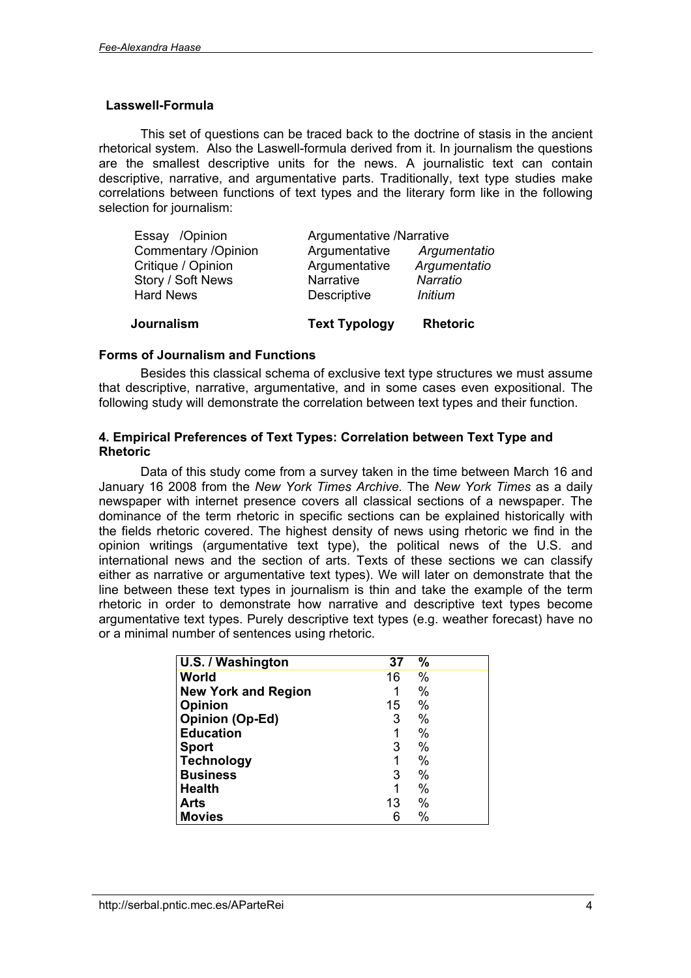## **Lasswell-Formula**

This set of questions can be traced back to the doctrine of stasis in the ancient rhetorical system. Also the Laswell-formula derived from it. In journalism the questions are the smallest descriptive units for the news. A journalistic text can contain descriptive, narrative, and argumentative parts. Traditionally, text type studies make correlations between functions of text types and the literary form like in the following selection for journalism:

| Journalism                 | <b>Text Typology</b>     | <b>Rhetoric</b> |
|----------------------------|--------------------------|-----------------|
| <b>Hard News</b>           | <b>Descriptive</b>       | <b>Initium</b>  |
| Story / Soft News          | Narrative                | Narratio        |
| Critique / Opinion         | Argumentative            | Argumentatio    |
| <b>Commentary /Opinion</b> | Argumentative            | Argumentatio    |
| Essay /Opinion             | Argumentative /Narrative |                 |

#### **Forms of Journalism and Functions**

Besides this classical schema of exclusive text type structures we must assume that descriptive, narrative, argumentative, and in some cases even expositional. The following study will demonstrate the correlation between text types and their function.

## **4. Empirical Preferences of Text Types: Correlation between Text Type and Rhetoric**

Data of this study come from a survey taken in the time between March 16 and January 16 2008 from the *New York Times Archive.* The *New York Times* as a daily newspaper with internet presence covers all classical sections of a newspaper. The dominance of the term rhetoric in specific sections can be explained historically with the fields rhetoric covered. The highest density of news using rhetoric we find in the opinion writings (argumentative text type), the political news of the U.S. and international news and the section of arts. Texts of these sections we can classify either as narrative or argumentative text types). We will later on demonstrate that the line between these text types in journalism is thin and take the example of the term rhetoric in order to demonstrate how narrative and descriptive text types become argumentative text types. Purely descriptive text types (e.g. weather forecast) have no or a minimal number of sentences using rhetoric.

| U.S. / Washington          | 37 | $\%$ |  |
|----------------------------|----|------|--|
| World                      | 16 | $\%$ |  |
| <b>New York and Region</b> |    | $\%$ |  |
| <b>Opinion</b>             | 15 | %    |  |
| <b>Opinion (Op-Ed)</b>     | 3  | %    |  |
| <b>Education</b>           | 1  | %    |  |
| <b>Sport</b>               | 3  | %    |  |
| <b>Technology</b>          | 1  | %    |  |
| <b>Business</b>            | 3  | %    |  |
| <b>Health</b>              | 1  | %    |  |
| <b>Arts</b>                | 13 | %    |  |
| <b>Movies</b>              | 6  | %    |  |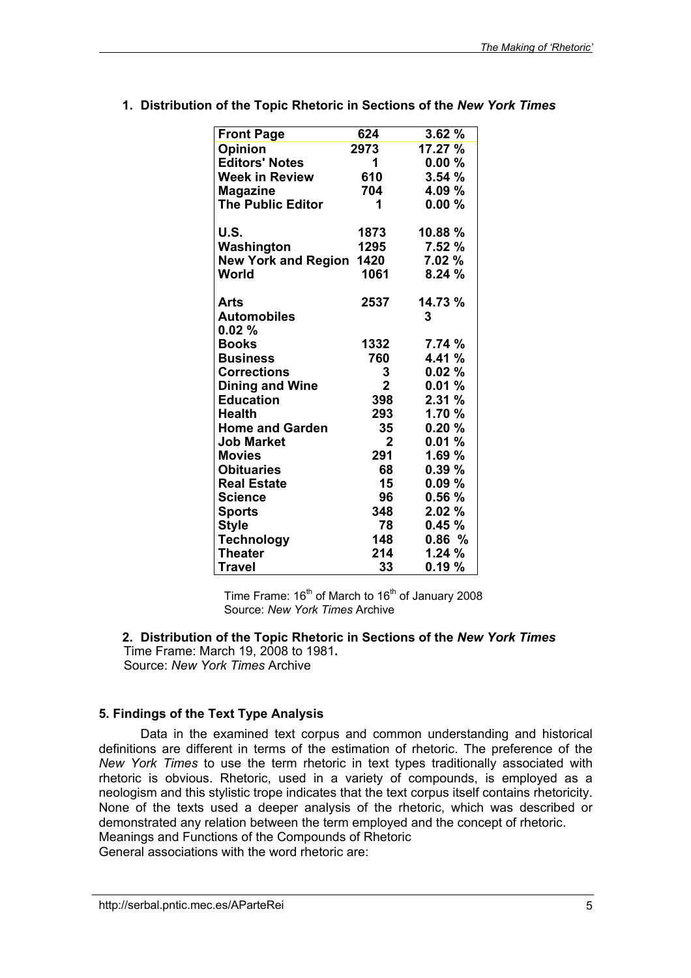| <b>Front Page</b>               | 624            | 3.62%   |
|---------------------------------|----------------|---------|
| <b>Opinion</b>                  | 2973           | 17.27 % |
| <b>Editors' Notes</b>           | 1              | 0.00%   |
| <b>Week in Review</b>           | 610            | 3.54%   |
| <b>Magazine</b>                 | 704            | 4.09 %  |
| <b>The Public Editor</b>        | 1              | 0.00%   |
| U.S.                            | 1873           | 10.88%  |
| Washington                      | 1295           | 7.52 %  |
| <b>New York and Region 1420</b> |                | 7.02%   |
| World                           | 1061           | 8.24%   |
| Arts                            | 2537           | 14.73 % |
| <b>Automobiles</b>              |                | 3       |
| 0.02%                           |                |         |
| <b>Books</b>                    | 1332           | 7.74%   |
| <b>Business</b>                 | 760            | 4.41 %  |
| <b>Corrections</b>              | 3              | 0.02%   |
| <b>Dining and Wine</b>          | $\overline{2}$ | 0.01%   |
| <b>Education</b>                | 398            | 2.31%   |
| <b>Health</b>                   | 293            | 1.70%   |
| <b>Home and Garden</b>          | 35             | 0.20%   |
| <b>Job Market</b>               | $\mathbf{2}$   | 0.01%   |
| <b>Movies</b>                   | 291            | 1.69%   |
| <b>Obituaries</b>               | 68             | 0.39%   |
| <b>Real Estate</b>              | 15             | 0.09%   |
| Science                         | 96             | 0.56%   |
| <b>Sports</b>                   | 348            | 2.02%   |
| <b>Style</b>                    | 78             | 0.45%   |
| <b>Technology</b>               | 148            | 0.86%   |
| <b>Theater</b>                  | 214            | 1.24%   |
| Travel                          | 33             | 0.19%   |

**1. Distribution of the Topic Rhetoric in Sections of the** *New York Times*

Time Frame:  $16<sup>th</sup>$  of March to  $16<sup>th</sup>$  of January 2008 Source: *New York Times* Archive

**2. Distribution of the Topic Rhetoric in Sections of the** *New York Times* Time Frame: March 19, 2008 to 1981**.**

Source: *New York Times* Archive

## **5. Findings of the Text Type Analysis**

Data in the examined text corpus and common understanding and historical definitions are different in terms of the estimation of rhetoric. The preference of the *New York Times* to use the term rhetoric in text types traditionally associated with rhetoric is obvious. Rhetoric, used in a variety of compounds, is employed as a neologism and this stylistic trope indicates that the text corpus itself contains rhetoricity. None of the texts used a deeper analysis of the rhetoric, which was described or demonstrated any relation between the term employed and the concept of rhetoric. Meanings and Functions of the Compounds of Rhetoric

General associations with the word rhetoric are: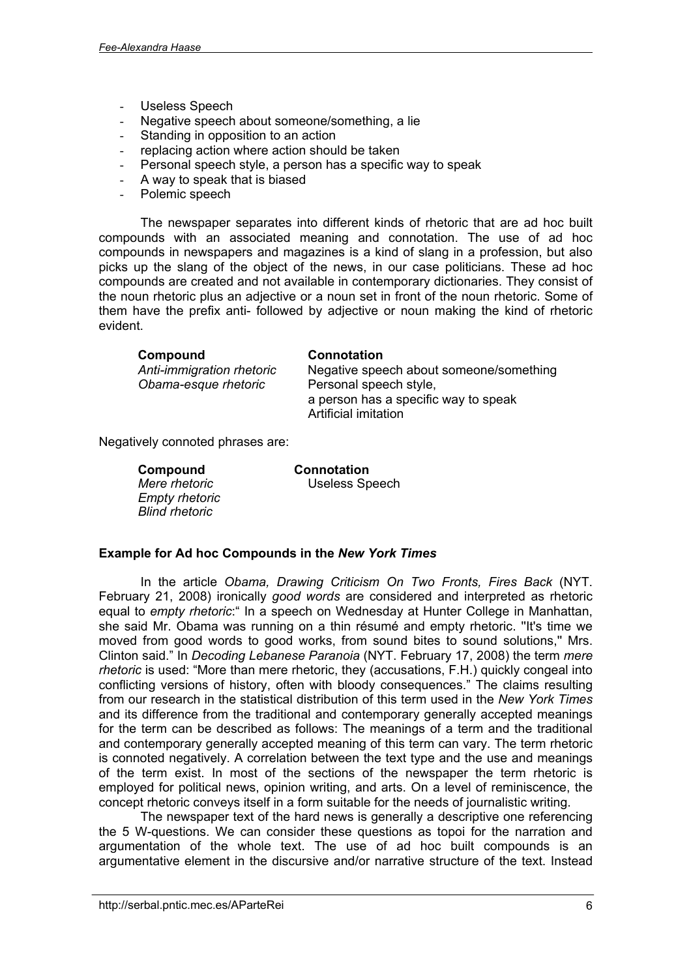- Useless Speech
- Negative speech about someone/something, a lie
- Standing in opposition to an action
- replacing action where action should be taken
- Personal speech style, a person has a specific way to speak
- A way to speak that is biased
- Polemic speech

The newspaper separates into different kinds of rhetoric that are ad hoc built compounds with an associated meaning and connotation. The use of ad hoc compounds in newspapers and magazines is a kind of slang in a profession, but also picks up the slang of the object of the news, in our case politicians. These ad hoc compounds are created and not available in contemporary dictionaries. They consist of the noun rhetoric plus an adjective or a noun set in front of the noun rhetoric. Some of them have the prefix anti- followed by adjective or noun making the kind of rhetoric evident.

| Compound                  | <b>Connotation</b>                      |
|---------------------------|-----------------------------------------|
| Anti-immigration rhetoric | Negative speech about someone/something |
| Obama-esque rhetoric      | Personal speech style,                  |
|                           | a person has a specific way to speak    |
|                           | Artificial imitation                    |

Negatively connoted phrases are:

 **Compound Connotation** *Empty rhetoric Blind rhetoric*

*Mere rhetoric* Useless Speech

## **Example for Ad hoc Compounds in the** *New York Times*

In the article *Obama, Drawing Criticism On Two Fronts, Fires Back* (NYT. February 21, 2008) ironically *good words* are considered and interpreted as rhetoric equal to *empty rhetoric*:" In a speech on Wednesday at Hunter College in Manhattan, she said Mr. Obama was running on a thin résumé and empty rhetoric. ''It's time we moved from good words to good works, from sound bites to sound solutions,'' Mrs. Clinton said." In *Decoding Lebanese Paranoia* (NYT. February 17, 2008) the term *mere rhetoric* is used: "More than mere rhetoric, they (accusations, F.H.) quickly congeal into conflicting versions of history, often with bloody consequences." The claims resulting from our research in the statistical distribution of this term used in the *New York Times* and its difference from the traditional and contemporary generally accepted meanings for the term can be described as follows: The meanings of a term and the traditional and contemporary generally accepted meaning of this term can vary. The term rhetoric is connoted negatively. A correlation between the text type and the use and meanings of the term exist. In most of the sections of the newspaper the term rhetoric is employed for political news, opinion writing, and arts. On a level of reminiscence, the concept rhetoric conveys itself in a form suitable for the needs of journalistic writing.

The newspaper text of the hard news is generally a descriptive one referencing the 5 W-questions. We can consider these questions as topoi for the narration and argumentation of the whole text. The use of ad hoc built compounds is an argumentative element in the discursive and/or narrative structure of the text. Instead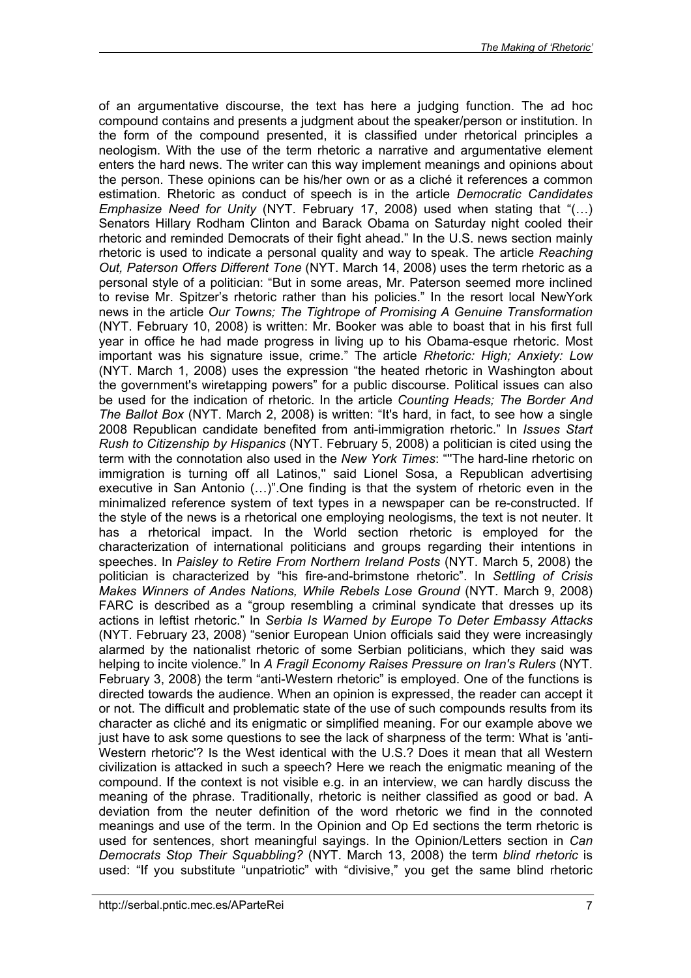of an argumentative discourse, the text has here a judging function. The ad hoc compound contains and presents a judgment about the speaker/person or institution. In the form of the compound presented, it is classified under rhetorical principles a neologism. With the use of the term rhetoric a narrative and argumentative element enters the hard news. The writer can this way implement meanings and opinions about the person. These opinions can be his/her own or as a cliché it references a common estimation. Rhetoric as conduct of speech is in the article *Democratic Candidates Emphasize Need for Unity* (NYT. February 17, 2008) used when stating that "(…) Senators Hillary Rodham Clinton and Barack Obama on Saturday night cooled their rhetoric and reminded Democrats of their fight ahead." In the U.S. news section mainly rhetoric is used to indicate a personal quality and way to speak. The article *Reaching Out, Paterson Offers Different Tone* (NYT. March 14, 2008) uses the term rhetoric as a personal style of a politician: "But in some areas, Mr. Paterson seemed more inclined to revise Mr. Spitzer's rhetoric rather than his policies." In the resort local NewYork news in the article *Our Towns; The Tightrope of Promising A Genuine Transformation* (NYT. February 10, 2008) is written: Mr. Booker was able to boast that in his first full year in office he had made progress in living up to his Obama-esque rhetoric. Most important was his signature issue, crime." The article *Rhetoric: High; Anxiety: Low* (NYT. March 1, 2008) uses the expression "the heated rhetoric in Washington about the government's wiretapping powers" for a public discourse. Political issues can also be used for the indication of rhetoric. In the article *Counting Heads; The Border And The Ballot Box* (NYT. March 2, 2008) is written: "It's hard, in fact, to see how a single 2008 Republican candidate benefited from anti-immigration rhetoric." In *Issues Start Rush to Citizenship by Hispanics* (NYT. February 5, 2008) a politician is cited using the term with the connotation also used in the *New York Times*: "''The hard-line rhetoric on immigration is turning off all Latinos," said Lionel Sosa, a Republican advertising executive in San Antonio (…)".One finding is that the system of rhetoric even in the minimalized reference system of text types in a newspaper can be re-constructed. If the style of the news is a rhetorical one employing neologisms, the text is not neuter. It has a rhetorical impact. In the World section rhetoric is employed for the characterization of international politicians and groups regarding their intentions in speeches. In *Paisley to Retire From Northern Ireland Posts* (NYT. March 5, 2008) the politician is characterized by "his fire-and-brimstone rhetoric". In *Settling of Crisis Makes Winners of Andes Nations, While Rebels Lose Ground* (NYT. March 9, 2008) FARC is described as a "group resembling a criminal syndicate that dresses up its actions in leftist rhetoric." In *Serbia Is Warned by Europe To Deter Embassy Attacks* (NYT. February 23, 2008) "senior European Union officials said they were increasingly alarmed by the nationalist rhetoric of some Serbian politicians, which they said was helping to incite violence." In *A Fragil Economy Raises Pressure on Iran's Rulers* (NYT. February 3, 2008) the term "anti-Western rhetoric" is employed. One of the functions is directed towards the audience. When an opinion is expressed, the reader can accept it or not. The difficult and problematic state of the use of such compounds results from its character as cliché and its enigmatic or simplified meaning. For our example above we just have to ask some questions to see the lack of sharpness of the term: What is 'anti-Western rhetoric'? Is the West identical with the U.S.? Does it mean that all Western civilization is attacked in such a speech? Here we reach the enigmatic meaning of the compound. If the context is not visible e.g. in an interview, we can hardly discuss the meaning of the phrase. Traditionally, rhetoric is neither classified as good or bad. A deviation from the neuter definition of the word rhetoric we find in the connoted meanings and use of the term. In the Opinion and Op Ed sections the term rhetoric is used for sentences, short meaningful sayings. In the Opinion/Letters section in *Can Democrats Stop Their Squabbling?* (NYT. March 13, 2008) the term *blind rhetoric* is used: "If you substitute "unpatriotic" with "divisive," you get the same blind rhetoric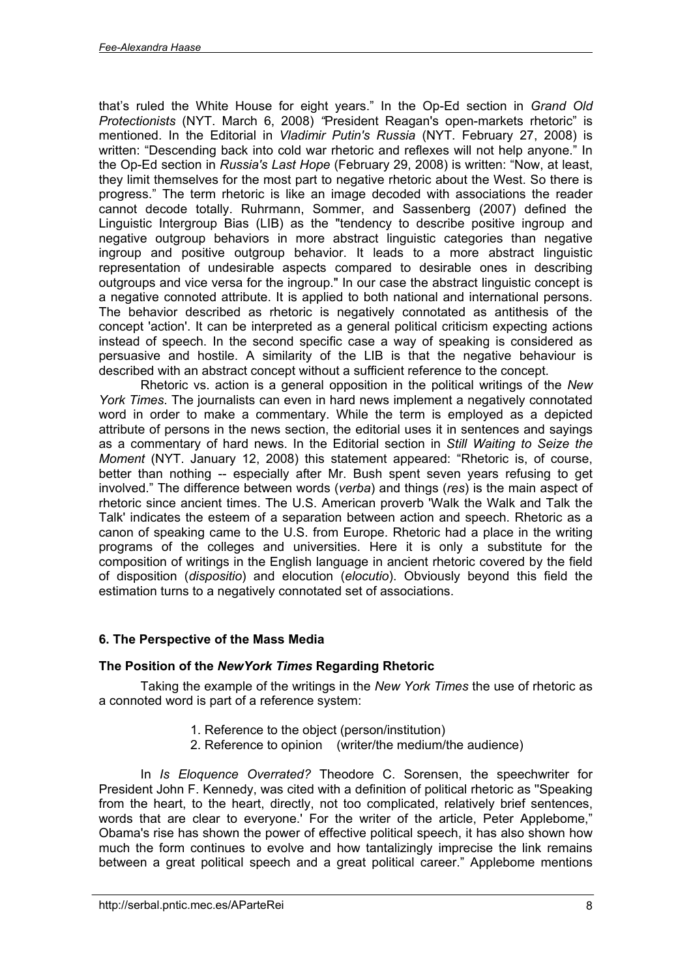that's ruled the White House for eight years." In the Op-Ed section in *Grand Old Protectionists* (NYT. March 6, 2008) *"*President Reagan's open-markets rhetoric" is mentioned. In the Editorial in *Vladimir Putin's Russia* (NYT. February 27, 2008) is written: "Descending back into cold war rhetoric and reflexes will not help anyone." In the Op-Ed section in *Russia's Last Hope* (February 29, 2008) is written: "Now, at least, they limit themselves for the most part to negative rhetoric about the West. So there is progress." The term rhetoric is like an image decoded with associations the reader cannot decode totally. Ruhrmann, Sommer, and Sassenberg (2007) defined the Linguistic Intergroup Bias (LIB) as the "tendency to describe positive ingroup and negative outgroup behaviors in more abstract linguistic categories than negative ingroup and positive outgroup behavior. It leads to a more abstract linguistic representation of undesirable aspects compared to desirable ones in describing outgroups and vice versa for the ingroup." In our case the abstract linguistic concept is a negative connoted attribute. It is applied to both national and international persons. The behavior described as rhetoric is negatively connotated as antithesis of the concept 'action'. It can be interpreted as a general political criticism expecting actions instead of speech. In the second specific case a way of speaking is considered as persuasive and hostile. A similarity of the LIB is that the negative behaviour is described with an abstract concept without a sufficient reference to the concept.

Rhetoric vs. action is a general opposition in the political writings of the *New York Times*. The journalists can even in hard news implement a negatively connotated word in order to make a commentary. While the term is employed as a depicted attribute of persons in the news section, the editorial uses it in sentences and sayings as a commentary of hard news. In the Editorial section in *Still Waiting to Seize the Moment* (NYT. January 12, 2008) this statement appeared: "Rhetoric is, of course, better than nothing -- especially after Mr. Bush spent seven years refusing to get involved." The difference between words (*verba*) and things (*res*) is the main aspect of rhetoric since ancient times. The U.S. American proverb 'Walk the Walk and Talk the Talk' indicates the esteem of a separation between action and speech. Rhetoric as a canon of speaking came to the U.S. from Europe. Rhetoric had a place in the writing programs of the colleges and universities. Here it is only a substitute for the composition of writings in the English language in ancient rhetoric covered by the field of disposition (*dispositio*) and elocution (*elocutio*). Obviously beyond this field the estimation turns to a negatively connotated set of associations.

## **6. The Perspective of the Mass Media**

## **The Position of the** *NewYork Times* **Regarding Rhetoric**

Taking the example of the writings in the *New York Times* the use of rhetoric as a connoted word is part of a reference system:

- 1. Reference to the object (person/institution)
- 2. Reference to opinion (writer/the medium/the audience)

In *Is Eloquence Overrated?* Theodore C. Sorensen, the speechwriter for President John F. Kennedy, was cited with a definition of political rhetoric as ''Speaking from the heart, to the heart, directly, not too complicated, relatively brief sentences, words that are clear to everyone.' For the writer of the article, Peter Applebome," Obama's rise has shown the power of effective political speech, it has also shown how much the form continues to evolve and how tantalizingly imprecise the link remains between a great political speech and a great political career." Applebome mentions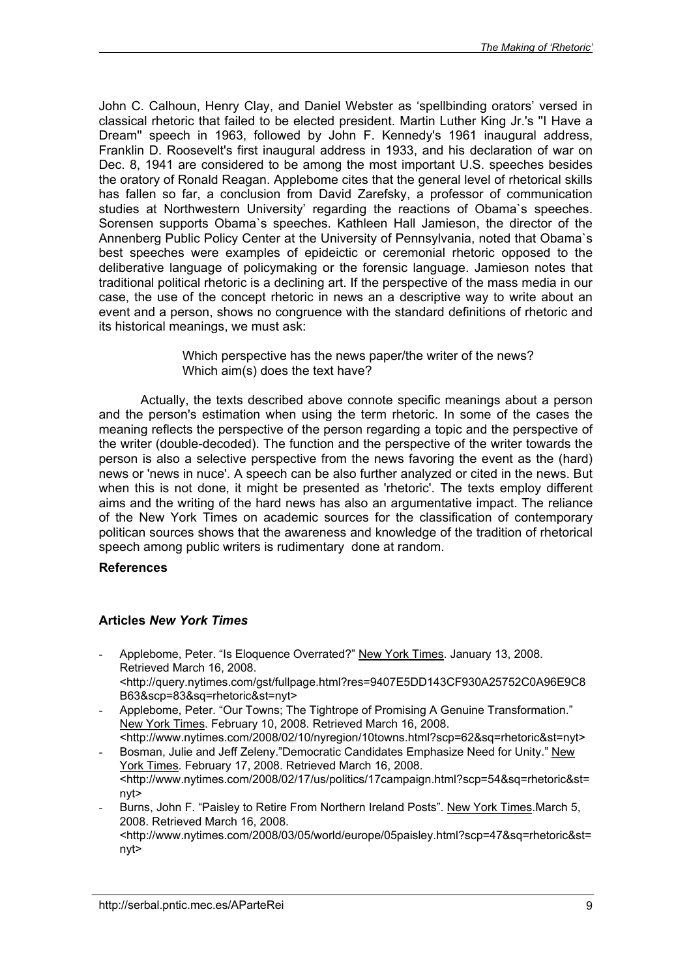John C. Calhoun, Henry Clay, and Daniel Webster as 'spellbinding orators' versed in classical rhetoric that failed to be elected president. Martin Luther King Jr.'s ''I Have a Dream'' speech in 1963, followed by John F. Kennedy's 1961 inaugural address, Franklin D. Roosevelt's first inaugural address in 1933, and his declaration of war on Dec. 8, 1941 are considered to be among the most important U.S. speeches besides the oratory of Ronald Reagan. Applebome cites that the general level of rhetorical skills has fallen so far, a conclusion from David Zarefsky, a professor of communication studies at Northwestern University' regarding the reactions of Obama`s speeches. Sorensen supports Obama`s speeches. Kathleen Hall Jamieson, the director of the Annenberg Public Policy Center at the University of Pennsylvania, noted that Obama`s best speeches were examples of epideictic or ceremonial rhetoric opposed to the deliberative language of policymaking or the forensic language. Jamieson notes that traditional political rhetoric is a declining art. If the perspective of the mass media in our case, the use of the concept rhetoric in news an a descriptive way to write about an event and a person, shows no congruence with the standard definitions of rhetoric and its historical meanings, we must ask:

> Which perspective has the news paper/the writer of the news? Which aim(s) does the text have?

Actually, the texts described above connote specific meanings about a person and the person's estimation when using the term rhetoric. In some of the cases the meaning reflects the perspective of the person regarding a topic and the perspective of the writer (double-decoded). The function and the perspective of the writer towards the person is also a selective perspective from the news favoring the event as the (hard) news or 'news in nuce'. A speech can be also further analyzed or cited in the news. But when this is not done, it might be presented as 'rhetoric'. The texts employ different aims and the writing of the hard news has also an argumentative impact. The reliance of the New York Times on academic sources for the classification of contemporary politican sources shows that the awareness and knowledge of the tradition of rhetorical speech among public writers is rudimentary done at random.

### **References**

## **Articles** *New York Times*

- Applebome, Peter. "Is Eloquence Overrated?" New York Times. January 13, 2008. Retrieved March 16, 2008. <<http://query.nytimes.com/gst/fullpage.html?res=9407E5DD143CF930A25752C0A96E9C8> B63&scp=83&sq=rhetoric&st=nyt>
- Applebome, Peter. "Our Towns; The Tightrope of Promising A Genuine Transformation." New York Times. February 10, 2008. Retrieved March 16, 2008. <[http://www.nytimes.com/2008/02/10/nyregion/10towns.html?scp=62&sq=rhetoric&st=nyt>](http://www.nytimes.com/2008/02/10/nyregion/10towns.html?scp=62&sq=rhetoric&st=nyt)
- Bosman, Julie and Jeff Zeleny."Democratic Candidates Emphasize Need for Unity." New York Times. February 17, 2008. Retrieved March 16, 2008. <<http://www.nytimes.com/2008/02/17/us/politics/17campaign.html?scp=54&sq=rhetoric&st=> nyt>
- Burns, John F. "Paisley to Retire From Northern Ireland Posts". New York Times.March 5, 2008. Retrieved March 16, 2008. <<http://www.nytimes.com/2008/03/05/world/europe/05paisley.html?scp=47&sq=rhetoric&st=> nyt>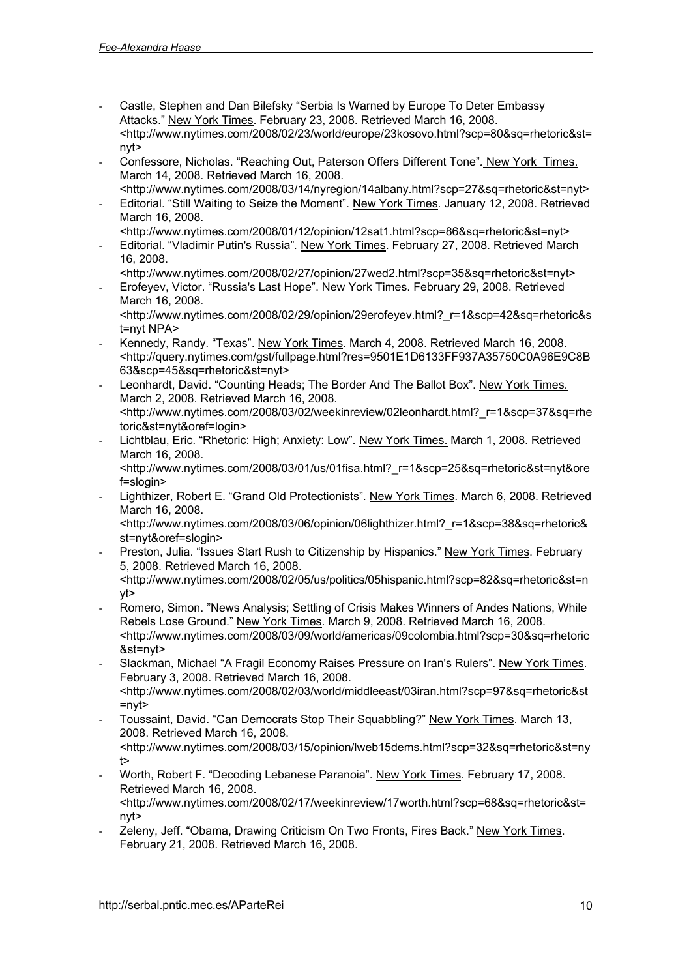- Castle, Stephen and Dan Bilefsky "Serbia Is Warned by Europe To Deter Embassy Attacks." New York Times. February 23, 2008. Retrieved March 16, 2008. <<http://www.nytimes.com/2008/02/23/world/europe/23kosovo.html?scp=80&sq=rhetoric&st=> nyt>
- Confessore, Nicholas. "Reaching Out, Paterson Offers Different Tone"*.* New York Times. March 14, 2008. Retrieved March 16, 2008. <[http://www.nytimes.com/2008/03/14/nyregion/14albany.html?scp=27&sq=rhetoric&st=nyt>](http://www.nytimes.com/2008/03/14/nyregion/14albany.html?scp=27&sq=rhetoric&st=nyt)
- Editorial. "Still Waiting to Seize the Moment". New York Times. January 12, 2008. Retrieved March 16, 2008.
- <[http://www.nytimes.com/2008/01/12/opinion/12sat1.html?scp=86&sq=rhetoric&st=nyt>](http://www.nytimes.com/2008/01/12/opinion/12sat1.html?scp=86&sq=rhetoric&st=nyt) - Editorial. "Vladimir Putin's Russia"*.* New York Times. February 27, 2008. Retrieved March 16, 2008.
	- <[http://www.nytimes.com/2008/02/27/opinion/27wed2.html?scp=35&sq=rhetoric&st=nyt>](http://www.nytimes.com/2008/02/27/opinion/27wed2.html?scp=35&sq=rhetoric&st=nyt)
- Erofeyev, Victor. "Russia's Last Hope". New York Times. February 29, 2008. Retrieved March 16, 2008.

<[http://www.nytimes.com/2008/02/29/opinion/29erofeyev.html?\\_r=1&scp=42&sq=rhetoric&s](http://www.nytimes.com/2008/02/29/opinion/29erofeyev.html?_r=1&scp=42&sq=rhetoric&s) t=nyt NPA>

- Kennedy, Randy. "Texas". New York Times. March 4, 2008. Retrieved March 16, 2008. <<http://query.nytimes.com/gst/fullpage.html?res=9501E1D6133FF937A35750C0A96E9C8B> 63&scp=45&sq=rhetoric&st=nyt>
- Leonhardt, David. "Counting Heads; The Border And The Ballot Box". New York Times. March 2, 2008. Retrieved March 16, 2008. <[http://www.nytimes.com/2008/03/02/weekinreview/02leonhardt.html?\\_r=1&scp=37&sq=rhe](http://www.nytimes.com/2008/03/02/weekinreview/02leonhardt.html?_r=1&scp=37&sq=rhe) toric&st=nyt&oref=login>
- Lichtblau, Eric. "Rhetoric: High; Anxiety: Low"*.* New York Times. March 1, 2008. Retrieved March 16, 2008.

<[http://www.nytimes.com/2008/03/01/us/01fisa.html?\\_r=1&scp=25&sq=rhetoric&st=nyt&ore](http://www.nytimes.com/2008/03/01/us/01fisa.html?_r=1&scp=25&sq=rhetoric&st=nyt&ore) f=slogin>

- Lighthizer, Robert E. "Grand Old Protectionists". New York Times. March 6, 2008. Retrieved March 16, 2008.

<[http://www.nytimes.com/2008/03/06/opinion/06lighthizer.html?\\_r=1&scp=38&sq=rhetoric&](http://www.nytimes.com/2008/03/06/opinion/06lighthizer.html?_r=1&scp=38&sq=rhetoric&) st=nyt&oref=slogin>

- Preston, Julia. "Issues Start Rush to Citizenship by Hispanics." New York Times. February 5, 2008. Retrieved March 16, 2008.
- <<http://www.nytimes.com/2008/02/05/us/politics/05hispanic.html?scp=82&sq=rhetoric&st=n> yt>
- Romero, Simon. "News Analysis; Settling of Crisis Makes Winners of Andes Nations, While Rebels Lose Ground." New York Times. March 9, 2008. Retrieved March 16, 2008. <<http://www.nytimes.com/2008/03/09/world/americas/09colombia.html?scp=30&sq=rhetoric> &st=nyt>
- Slackman, Michael "A Fragil Economy Raises Pressure on Iran's Rulers". New York Times. February 3, 2008. Retrieved March 16, 2008. <<http://www.nytimes.com/2008/02/03/world/middleeast/03iran.html?scp=97&sq=rhetoric&st> =nyt>
- Toussaint, David. "Can Democrats Stop Their Squabbling?" New York Times. March 13, 2008. Retrieved March 16, 2008. <<http://www.nytimes.com/2008/03/15/opinion/lweb15dems.html?scp=32&sq=rhetoric&st=ny> t>
- Worth, Robert F. "Decoding Lebanese Paranoia". New York Times. February 17, 2008. Retrieved March 16, 2008. <<http://www.nytimes.com/2008/02/17/weekinreview/17worth.html?scp=68&sq=rhetoric&st=> nyt>
- Zeleny, Jeff. "Obama, Drawing Criticism On Two Fronts, Fires Back." New York Times. February 21, 2008. Retrieved March 16, 2008.